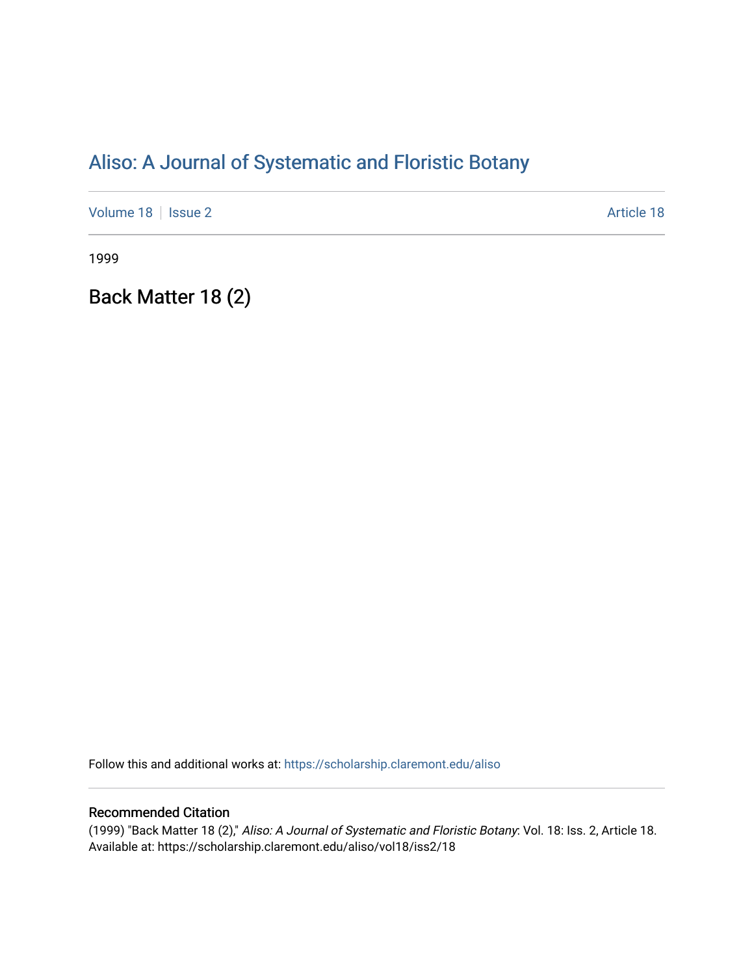# [Aliso: A Journal of Systematic and Floristic Botany](https://scholarship.claremont.edu/aliso)

[Volume 18](https://scholarship.claremont.edu/aliso/vol18) | [Issue 2](https://scholarship.claremont.edu/aliso/vol18/iss2) Article 18

1999

Back Matter 18 (2)

Follow this and additional works at: [https://scholarship.claremont.edu/aliso](https://scholarship.claremont.edu/aliso?utm_source=scholarship.claremont.edu%2Faliso%2Fvol18%2Fiss2%2F18&utm_medium=PDF&utm_campaign=PDFCoverPages) 

## Recommended Citation

(1999) "Back Matter 18 (2)," Aliso: A Journal of Systematic and Floristic Botany: Vol. 18: Iss. 2, Article 18. Available at: https://scholarship.claremont.edu/aliso/vol18/iss2/18